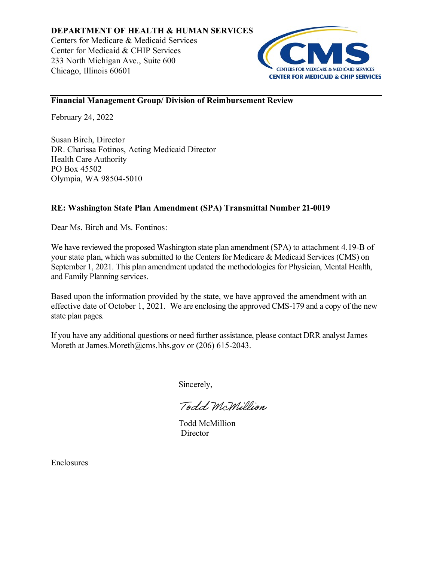

# **Financial Management Group/ Division of Reimbursement Review**

February 24, 2022

Susan Birch, Director DR. Charissa Fotinos, Acting Medicaid Director Health Care Authority PO Box 45502 Olympia, WA 98504-5010

# **RE: Washington State Plan Amendment (SPA) Transmittal Number 21-0019**

Dear Ms. Birch and Ms. Fontinos:

We have reviewed the proposed Washington state plan amendment (SPA) to attachment 4.19-B of your state plan, which was submitted to the Centers for Medicare & Medicaid Services (CMS) on September 1, 2021. This plan amendment updated the methodologies for Physician, Mental Health, and Family Planning services.

Based upon the information provided by the state, we have approved the amendment with an effective date of October 1, 2021. We are enclosing the approved CMS-179 and a copy of the new state plan pages.

If you have any additional questions or need further assistance, please contact DRR analyst James Moreth at James.Moreth@cms.hhs.gov or (206) 615-2043.

Sincerely,

Todd McMillion

Todd McMillion **Director** 

Enclosures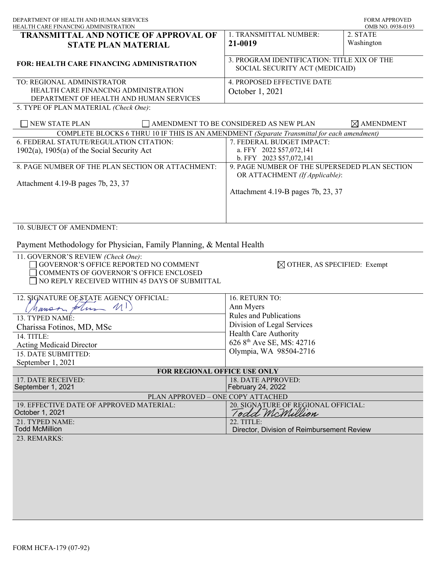| DEPARTMENT OF HEALTH AND HUMAN SERVICES<br>HEALTH CARE FINANCING ADMINISTRATION                                                                                               |                                                                                                                       | <b>FORM APPROVED</b><br>OMB NO. 0938-0193 |
|-------------------------------------------------------------------------------------------------------------------------------------------------------------------------------|-----------------------------------------------------------------------------------------------------------------------|-------------------------------------------|
| TRANSMITTAL AND NOTICE OF APPROVAL OF<br><b>STATE PLAN MATERIAL</b>                                                                                                           | 1. TRANSMITTAL NUMBER:<br>21-0019                                                                                     | 2. STATE<br>Washington                    |
| <b>FOR: HEALTH CARE FINANCING ADMINISTRATION</b>                                                                                                                              | 3. PROGRAM IDENTIFICATION: TITLE XIX OF THE<br>SOCIAL SECURITY ACT (MEDICAID)                                         |                                           |
| TO: REGIONAL ADMINISTRATOR<br>HEALTH CARE FINANCING ADMINISTRATION<br>DEPARTMENT OF HEALTH AND HUMAN SERVICES                                                                 | 4. PROPOSED EFFECTIVE DATE<br>October 1, 2021                                                                         |                                           |
| 5. TYPE OF PLAN MATERIAL (Check One):<br>NEW STATE PLAN                                                                                                                       | AMENDMENT TO BE CONSIDERED AS NEW PLAN                                                                                | $\boxtimes$ AMENDMENT                     |
| COMPLETE BLOCKS 6 THRU 10 IF THIS IS AN AMENDMENT (Separate Transmittal for each amendment)                                                                                   |                                                                                                                       |                                           |
| 6. FEDERAL STATUTE/REGULATION CITATION:<br>$1902(a)$ , $1905(a)$ of the Social Security Act                                                                                   | 7. FEDERAL BUDGET IMPACT:<br>a. FFY 2022 \$57,072,141<br>b. FFY 2023 \$57,072,141                                     |                                           |
| 8. PAGE NUMBER OF THE PLAN SECTION OR ATTACHMENT:<br>Attachment 4.19-B pages 7b, 23, 37                                                                                       | 9. PAGE NUMBER OF THE SUPERSEDED PLAN SECTION<br>OR ATTACHMENT (If Applicable):<br>Attachment 4.19-B pages 7b, 23, 37 |                                           |
| 10. SUBJECT OF AMENDMENT:<br>Payment Methodology for Physician, Family Planning, & Mental Health                                                                              |                                                                                                                       |                                           |
| 11. GOVERNOR'S REVIEW (Check One):<br>GOVERNOR'S OFFICE REPORTED NO COMMENT<br><b>COMMENTS OF GOVERNOR'S OFFICE ENCLOSED</b><br>NO REPLY RECEIVED WITHIN 45 DAYS OF SUBMITTAL | $\boxtimes$ OTHER, AS SPECIFIED: Exempt                                                                               |                                           |
| 12. SIGNATURE OF STATE AGENCY OFFICIAL:                                                                                                                                       | 16. RETURN TO:                                                                                                        |                                           |
| nanson plum MI)                                                                                                                                                               | Ann Myers                                                                                                             |                                           |
| 13. TYPED NAMÉ:                                                                                                                                                               | <b>Rules and Publications</b>                                                                                         |                                           |
| Charissa Fotinos, MD, MSc                                                                                                                                                     | Division of Legal Services                                                                                            |                                           |
| 14. TITLE:                                                                                                                                                                    | Health Care Authority                                                                                                 |                                           |
| <b>Acting Medicaid Director</b>                                                                                                                                               | 626 8 <sup>th</sup> Ave SE, MS: 42716                                                                                 |                                           |
| 15. DATE SUBMITTED:                                                                                                                                                           | Olympia, WA 98504-2716                                                                                                |                                           |
| September 1, 2021                                                                                                                                                             |                                                                                                                       |                                           |
| FOR REGIONAL OFFICE USE ONLY                                                                                                                                                  |                                                                                                                       |                                           |
| 17. DATE RECEIVED:<br>September 1, 2021                                                                                                                                       | 18. DATE APPROVED:<br>February 24, 2022                                                                               |                                           |
| PLAN APPROVED - ONE COPY ATTACHED                                                                                                                                             |                                                                                                                       |                                           |
| 19. EFFECTIVE DATE OF APPROVED MATERIAL:<br>October 1, 2021                                                                                                                   | 20. SIGNATURE OF REGIONAL OFFICIAL:<br>Todd McMillion                                                                 |                                           |

Director, Division of Reimbursement Review

23. REMARKS: Todd McMillion

21. TYPED NAME: 22. TITLE: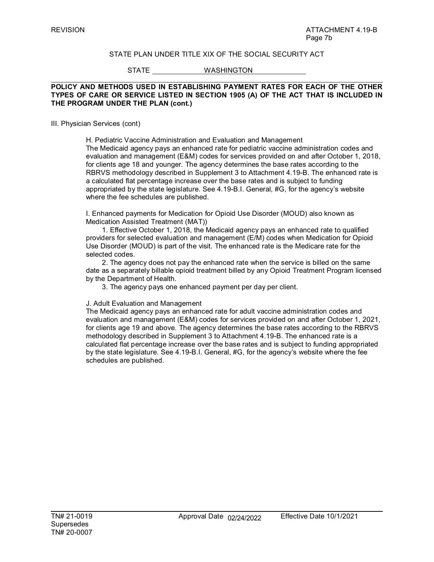# STATE PLAN UNDER TITLE XIX OF THE SOCIAL SECURITY ACT

STATE WASHINGTON

# **POLICY AND METHODS USED IN ESTABLISHING PAYMENT RATES FOR EACH OF THE OTHER TYPES OF CARE OR SERVICE LISTED IN SECTION 1905 (A) OF THE ACT THAT IS INCLUDED IN THE PROGRAM UNDER THE PLAN (cont.)**

#### III. Physician Services (cont)

H. Pediatric Vaccine Administration and Evaluation and Management The Medicaid agency pays an enhanced rate for pediatric vaccine administration codes and evaluation and management (E&M) codes for services provided on and after October 1, 2018, for clients age 18 and younger. The agency determines the base rates according to the RBRVS methodology described in Supplement 3 to Attachment 4.19-B. The enhanced rate is a calculated flat percentage increase over the base rates and is subject to funding appropriated by the state legislature. See 4.19-B.I. General, #G, for the agency's website where the fee schedules are published.

I. Enhanced payments for Medication for Opioid Use Disorder (MOUD) also known as Medication Assisted Treatment (MAT))

1. Effective October 1, 2018, the Medicaid agency pays an enhanced rate to qualified providers for selected evaluation and management (E/M) codes when Medication for Opioid Use Disorder (MOUD) is part of the visit. The enhanced rate is the Medicare rate for the selected codes.

2. The agency does not pay the enhanced rate when the service is billed on the same date as a separately billable opioid treatment billed by any Opioid Treatment Program licensed by the Department of Health.

3. The agency pays one enhanced payment per day per client.

#### J. Adult Evaluation and Management

The Medicaid agency pays an enhanced rate for adult vaccine administration codes and evaluation and management (E&M) codes for services provided on and after October 1, 2021, for clients age 19 and above. The agency determines the base rates according to the RBRVS methodology described in Supplement 3 to Attachment 4.19-B. The enhanced rate is a calculated flat percentage increase over the base rates and is subject to funding appropriated by the state legislature. See 4.19-B.I. General, #G, for the agency's website where the fee schedules are published.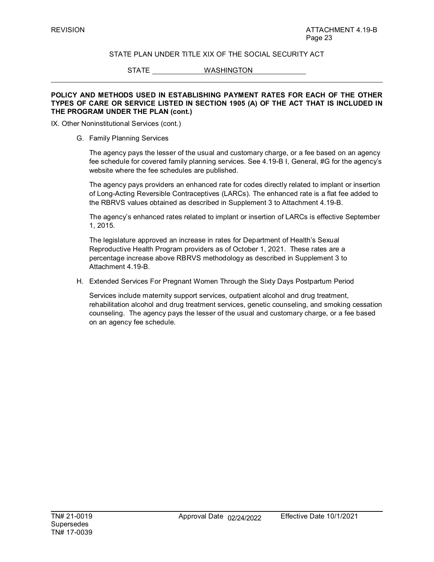# STATE PLAN UNDER TITLE XIX OF THE SOCIAL SECURITY ACT

STATE WASHINGTON

# **POLICY AND METHODS USED IN ESTABLISHING PAYMENT RATES FOR EACH OF THE OTHER TYPES OF CARE OR SERVICE LISTED IN SECTION 1905 (A) OF THE ACT THAT IS INCLUDED IN THE PROGRAM UNDER THE PLAN (cont.)**

IX. Other Noninstitutional Services (cont.)

G. Family Planning Services

The agency pays the lesser of the usual and customary charge, or a fee based on an agency fee schedule for covered family planning services. See 4.19-B I, General, #G for the agency's website where the fee schedules are published.

The agency pays providers an enhanced rate for codes directly related to implant or insertion of Long-Acting Reversible Contraceptives (LARCs). The enhanced rate is a flat fee added to the RBRVS values obtained as described in Supplement 3 to Attachment 4.19-B.

The agency's enhanced rates related to implant or insertion of LARCs is effective September 1, 2015.

The legislature approved an increase in rates for Department of Health's Sexual Reproductive Health Program providers as of October 1, 2021. These rates are a percentage increase above RBRVS methodology as described in Supplement 3 to Attachment 4.19-B.

H. Extended Services For Pregnant Women Through the Sixty Days Postpartum Period

Services include maternity support services, outpatient alcohol and drug treatment, rehabilitation alcohol and drug treatment services, genetic counseling, and smoking cessation counseling. The agency pays the lesser of the usual and customary charge, or a fee based on an agency fee schedule.